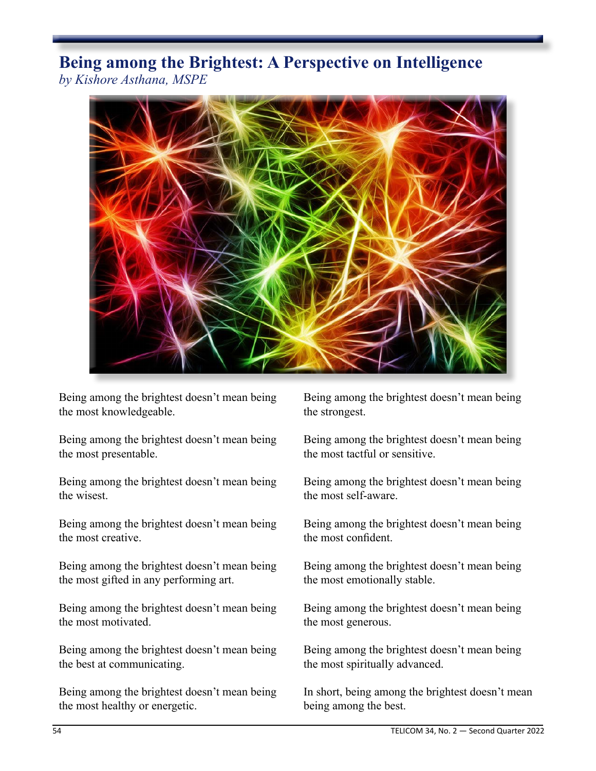## **Being among the Brightest: A Perspective on Intelligence** *by Kishore Asthana, MSPE*



Being among the brightest doesn't mean being the most knowledgeable.

Being among the brightest doesn't mean being the most presentable.

Being among the brightest doesn't mean being the wisest.

Being among the brightest doesn't mean being the most creative.

Being among the brightest doesn't mean being the most gifted in any performing art.

Being among the brightest doesn't mean being the most motivated.

Being among the brightest doesn't mean being the best at communicating.

Being among the brightest doesn't mean being the most healthy or energetic.

Being among the brightest doesn't mean being the strongest.

Being among the brightest doesn't mean being the most tactful or sensitive.

Being among the brightest doesn't mean being the most self-aware.

Being among the brightest doesn't mean being the most confident.

Being among the brightest doesn't mean being the most emotionally stable.

Being among the brightest doesn't mean being the most generous.

Being among the brightest doesn't mean being the most spiritually advanced.

In short, being among the brightest doesn't mean being among the best.